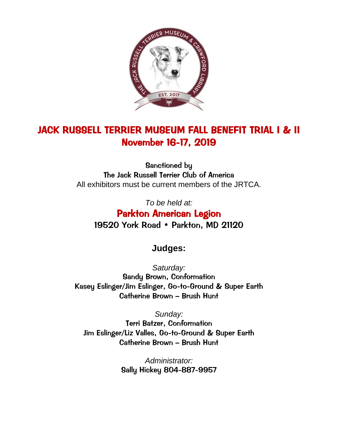

# JACK RUSSELL TERRIER MUSEUM FALL BENEFIT TRIAL I & II November 16-17, 2019

Sanctioned by The Jack Russell Terrier Club of America All exhibitors must be current members of the JRTCA.

*To be held at:* Parkton American Legion 19520 York Road • Parkton, MD 21120

## **Judges:**

*Saturday:* Sandy Brown, Conformation Kasey Eslinger/Jim Eslinger, Go-to-Ground & Super Earth Catherine Brown – Brush Hunt

*Sunday:* Terri Batzer, Conformation Jim Eslinger/Liz Valles, Go-to-Ground & Super Earth Catherine Brown – Brush Hunt

> *Administrator:* Sally Hickey 804-887-9957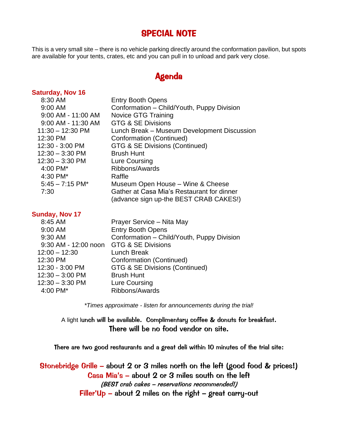## SPECIAL NOTE

This is a very small site – there is no vehicle parking directly around the conformation pavilion, but spots are available for your tents, crates, etc and you can pull in to unload and park very close.

## Agenda

## **Saturday, Nov 16**

| 8:30 AM            | <b>Entry Booth Opens</b>                    |
|--------------------|---------------------------------------------|
| 9:00 AM            | Conformation – Child/Youth, Puppy Division  |
| 9:00 AM - 11:00 AM | Novice GTG Training                         |
| 9:00 AM - 11:30 AM | GTG & SE Divisions                          |
| $11:30 - 12:30$ PM | Lunch Break - Museum Development Discussion |
| 12:30 PM           | Conformation (Continued)                    |
| 12:30 - 3:00 PM    | GTG & SE Divisions (Continued)              |
| $12:30 - 3:30$ PM  | <b>Brush Hunt</b>                           |
| $12:30 - 3:30$ PM  | Lure Coursing                               |
| 4:00 PM*           | Ribbons/Awards                              |
| 4:30 PM*           | Raffle                                      |
| $5:45 - 7:15$ PM*  | Museum Open House - Wine & Cheese           |
| 7:30               | Gather at Casa Mia's Restaurant for dinner  |
|                    | (advance sign up-the BEST CRAB CAKES!)      |

#### **Sunday, Nov 17**

| 8:45 AM                                 | Prayer Service - Nita May                  |
|-----------------------------------------|--------------------------------------------|
| 9:00 AM                                 | <b>Entry Booth Opens</b>                   |
| 9:30 AM                                 | Conformation - Child/Youth, Puppy Division |
| 9:30 AM - 12:00 noon GTG & SE Divisions |                                            |
| $12:00 - 12:30$                         | <b>Lunch Break</b>                         |
| 12:30 PM                                | <b>Conformation (Continued)</b>            |
| 12:30 - 3:00 PM                         | GTG & SE Divisions (Continued)             |
| $12:30 - 3:00$ PM                       | <b>Brush Hunt</b>                          |
| $12:30 - 3:30$ PM                       | Lure Coursing                              |
| 4:00 PM*                                | Ribbons/Awards                             |
|                                         |                                            |

*\*Times approximate - listen for announcements during the trial!*

A light lunch will be available. Complimentary coffee & donuts for breakfast. There will be no food vendor on site.

There are two good restaurants and a great deli within 10 minutes of the trial site:

Stonebridge Grille – about 2 or 3 miles north on the left (good food & prices!) Casa Mia's – about 2 or 3 miles south on the left (BEST crab cakes – reservations recommended!) Filler'Up – about 2 miles on the right – great carry-out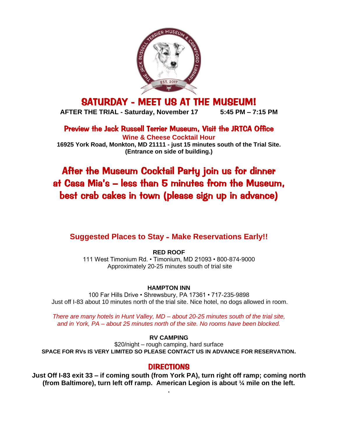

# SATURDAY - MEET US AT THE MUSEUM!

**AFTER THE TRIAL - Saturday, November 17 5:45 PM – 7:15 PM**

Preview the Jack Russell Terrier Museum, Visit the JRTCA Office **Wine & Cheese Cocktail Hour**

**16925 York Road, Monkton, MD 21111 - just 15 minutes south of the Trial Site. (Entrance on side of building.)**

# After the Museum Cocktail Party join us for dinner at Casa Mia's – less than 5 minutes from the Museum, best crab cakes in town (please sign up in advance)

## **Suggested Places to Stay** - **Make Reservations Early!!**

**RED ROOF** 111 West Timonium Rd. • Timonium, MD 21093 • 800-874-9000 Approximately 20-25 minutes south of trial site

### **HAMPTON INN**

100 Far Hills Drive • Shrewsbury, PA 17361 • 717-235-9898 Just off I-83 about 10 minutes north of the trial site. Nice hotel, no dogs allowed in room.

*There are many hotels in Hunt Valley, MD – about 20-25 minutes south of the trial site, and in York, PA – about 25 minutes north of the site. No rooms have been blocked.*

#### **RV CAMPING**

\$20/night – rough camping, hard surface **SPACE FOR RVs IS VERY LIMITED SO PLEASE CONTACT US IN ADVANCE FOR RESERVATION.**

## DIRECTIONS

**Just Off I-83 exit 33 – if coming south (from York PA), turn right off ramp; coming north (from Baltimore), turn left off ramp. American Legion is about ¼ mile on the left.**

**.**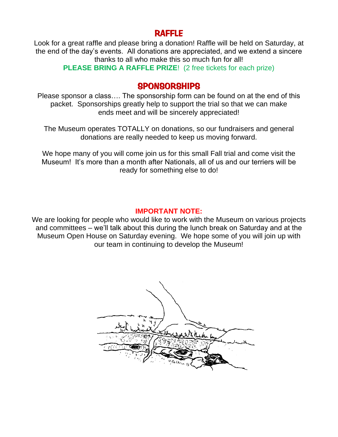## RAFFLE

Look for a great raffle and please bring a donation! Raffle will be held on Saturday, at the end of the day's events. All donations are appreciated, and we extend a sincere thanks to all who make this so much fun for all!

**PLEASE BRING A RAFFLE PRIZE**! (2 free tickets for each prize)

## **SPONSORSHIPS**

Please sponsor a class…. The sponsorship form can be found on at the end of this packet. Sponsorships greatly help to support the trial so that we can make ends meet and will be sincerely appreciated!

The Museum operates TOTALLY on donations, so our fundraisers and general donations are really needed to keep us moving forward.

We hope many of you will come join us for this small Fall trial and come visit the Museum! It's more than a month after Nationals, all of us and our terriers will be ready for something else to do!

## **IMPORTANT NOTE:**

We are looking for people who would like to work with the Museum on various projects and committees – we'll talk about this during the lunch break on Saturday and at the Museum Open House on Saturday evening. We hope some of you will join up with our team in continuing to develop the Museum!

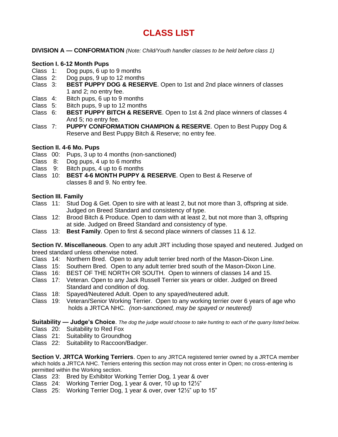# **CLASS LIST**

**DIVISION A — CONFORMATION** *(Note: Child/Youth handler classes to be held before class 1)*

#### **Section I. 6-12 Month Pups**

- Class 1: Dog pups, 6 up to 9 months
- Class 2: Dog pups, 9 up to 12 months
- Class 3: **BEST PUPPY DOG & RESERVE**. Open to 1st and 2nd place winners of classes 1 and 2; no entry fee.
- Class 4: Bitch pups, 6 up to 9 months
- Class 5: Bitch pups, 9 up to 12 months
- Class 6: **BEST PUPPY BITCH & RESERVE**. Open to 1st & 2nd place winners of classes 4 And 5; no entry fee.
- Class 7: **PUPPY CONFORMATION CHAMPION & RESERVE**. Open to Best Puppy Dog & Reserve and Best Puppy Bitch & Reserve; no entry fee.

### **Section II. 4-6 Mo. Pups**

- Class 00: Pups, 3 up to 4 months (non-sanctioned)
- Class 8: Dog pups, 4 up to 6 months
- Class 9: Bitch pups, 4 up to 6 months
- Class 10: **BEST 4-6 MONTH PUPPY & RESERVE**. Open to Best & Reserve of classes 8 and 9. No entry fee.

### **Section III. Family**

- Class 11: Stud Dog & Get. Open to sire with at least 2, but not more than 3, offspring at side. Judged on Breed Standard and consistency of type.
- Class 12: Brood Bitch & Produce. Open to dam with at least 2, but not more than 3, offspring at side. Judged on Breed Standard and consistency of type.
- Class 13: **Best Family**. Open to first & second place winners of classes 11 & 12.

**Section IV. Miscellaneous**. Open to any adult JRT including those spayed and neutered. Judged on breed standard unless otherwise noted.

- Class 14: Northern Bred. Open to any adult terrier bred north of the Mason-Dixon Line.
- Class 15: Southern Bred. Open to any adult terrier bred south of the Mason-Dixon Line.
- Class 16: BEST OF THE NORTH OR SOUTH. Open to winners of classes 14 and 15.
- Class 17: Veteran. Open to any Jack Russell Terrier six years or older. Judged on Breed Standard and condition of dog.
- Class 18: Spayed/Neutered Adult. Open to any spayed/neutered adult.
- Class 19: Veteran/Senior Working Terrier. Open to any working terrier over 6 years of age who holds a JRTCA NHC. *(non-sanctioned, may be spayed or neutered)*

**Suitability — Judge's Choice**. *The dog the judge would choose to take hunting to each of the quarry listed below.*

- Class 20: Suitability to Red Fox
- Class 21: Suitability to Groundhog
- Class 22: Suitability to Raccoon/Badger.

**Section V. JRTCA Working Terriers**. Open to any JRTCA registered terrier owned by a JRTCA member which holds a JRTCA NHC. Terriers entering this section may not cross enter in Open; no cross-entering is permitted within the Working section.

- Class 23: Bred by Exhibitor Working Terrier Dog, 1 year & over
- Class 24: Working Terrier Dog, 1 year & over, 10 up to 12½"
- Class 25: Working Terrier Dog, 1 year & over, over 12½" up to 15"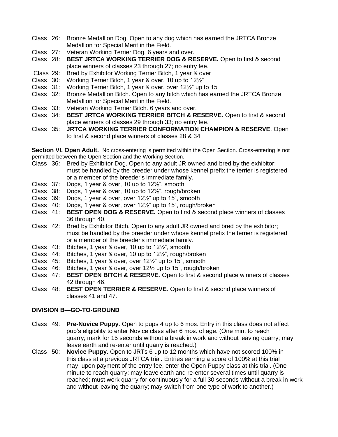- Class 26: Bronze Medallion Dog. Open to any dog which has earned the JRTCA Bronze Medallion for Special Merit in the Field.
- Class 27: Veteran Working Terrier Dog. 6 years and over.
- Class 28: **BEST JRTCA WORKING TERRIER DOG & RESERVE.** Open to first & second place winners of classes 23 through 27; no entry fee.
- Class 29: Bred by Exhibitor Working Terrier Bitch, 1 year & over
- Class 30: Working Terrier Bitch, 1 year & over, 10 up to 12½"
- Class 31: Working Terrier Bitch, 1 year & over, over 12½" up to 15"
- Class 32: Bronze Medallion Bitch. Open to any bitch which has earned the JRTCA Bronze Medallion for Special Merit in the Field.
- Class 33: Veteran Working Terrier Bitch. 6 years and over.
- Class 34: **BEST JRTCA WORKING TERRIER BITCH & RESERVE.** Open to first & second place winners of classes 29 through 33; no entry fee.
- Class 35: **JRTCA WORKING TERRIER CONFORMATION CHAMPION & RESERVE**. Open to first & second place winners of classes 28 & 34.

**Section VI. Open Adult.** No cross-entering is permitted within the Open Section. Cross-entering is not permitted between the Open Section and the Working Section.

- Class 36: Bred by Exhibitor Dog. Open to any adult JR owned and bred by the exhibitor; must be handled by the breeder under whose kennel prefix the terrier is registered or a member of the breeder's immediate family.
- Class 37: Dogs, 1 year & over, 10 up to 12½", smooth
- Class 38: Dogs, 1 year & over, 10 up to 12½", rough/broken
- Class 39: Dogs, 1 year & over, over 12½" up to 15", smooth
- Class 40: Dogs, 1 year & over, over 12½" up to 15", rough/broken
- Class 41: **BEST OPEN DOG & RESERVE.** Open to first & second place winners of classes 36 through 40.
- Class 42: Bred by Exhibitor Bitch. Open to any adult JR owned and bred by the exhibitor; must be handled by the breeder under whose kennel prefix the terrier is registered or a member of the breeder's immediate family.
- Class 43: Bitches, 1 year & over, 10 up to 12½", smooth
- Class 44: Bitches, 1 year & over, 10 up to 12½", rough/broken
- Class 45: Bitches, 1 year & over, over 12½" up to 15", smooth
- Class 46: Bitches, 1 year & over, over 12½ up to 15", rough/broken
- Class 47: **BEST OPEN BITCH & RESERVE**. Open to first & second place winners of classes 42 through 46.
- Class 48: **BEST OPEN TERRIER & RESERVE**. Open to first & second place winners of classes 41 and 47.

#### **DIVISION B—GO-TO-GROUND**

- Class 49: **Pre-Novice Puppy**. Open to pups 4 up to 6 mos. Entry in this class does not affect pup's eligibility to enter Novice class after 6 mos. of age. (One min. to reach quarry; mark for 15 seconds without a break in work and without leaving quarry; may leave earth and re-enter until quarry is reached.)
- Class 50: **Novice Puppy**. Open to JRTs 6 up to 12 months which have not scored 100% in this class at a previous JRTCA trial. Entries earning a score of 100% at this trial may, upon payment of the entry fee, enter the Open Puppy class at this trial. (One minute to reach quarry; may leave earth and re-enter several times until quarry is reached; must work quarry for continuously for a full 30 seconds without a break in work and without leaving the quarry; may switch from one type of work to another.)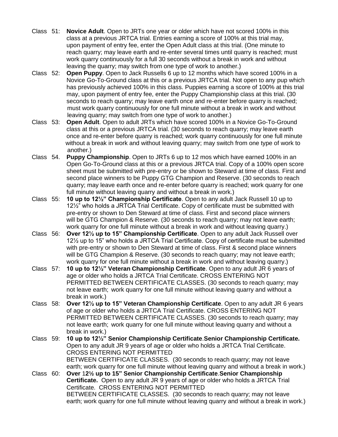- Class 51: **Novice Adult**. Open to JRTs one year or older which have not scored 100% in this class at a previous JRTCA trial. Entries earning a score of 100% at this trial may, upon payment of entry fee, enter the Open Adult class at this trial. (One minute to reach quarry; may leave earth and re-enter several times until quarry is reached; must work quarry continuously for a full 30 seconds without a break in work and without leaving the quarry; may switch from one type of work to another.)
- Class 52: **Open Puppy**. Open to Jack Russells 6 up to 12 months which have scored 100% in a Novice Go-To-Ground class at this or a previous JRTCA trial. Not open to any pup which has previously achieved 100% in this class. Puppies earning a score of 100% at this trial may, upon payment of entry fee, enter the Puppy Championship class at this trial. (30 seconds to reach quarry; may leave earth once and re-enter before quarry is reached; must work quarry continuously for one full minute without a break in work and without leaving quarry; may switch from one type of work to another.)
- Class 53: **Open Adult**. Open to adult JRTs which have scored 100% in a Novice Go-To-Ground class at this or a previous JRTCA trial. (30 seconds to reach quarry; may leave earth once and re-enter before quarry is reached; work quarry continuously for one full minute without a break in work and without leaving quarry; may switch from one type of work to another.)
- Class 54. **Puppy Championship**. Open to JRTs 6 up to 12 mos which have earned 100% in an Open Go-To-Ground class at this or a previous JRTCA trial. Copy of a 100% open score sheet must be submitted with pre-entry or be shown to Steward at time of class. First and second place winners to be Puppy GTG Champion and Reserve. (30 seconds to reach quarry; may leave earth once and re-enter before quarry is reached; work quarry for one full minute without leaving quarry and without a break in work.)
- Class 55: **10 up to 12½" Championship Certificate**. Open to any adult Jack Russell 10 up to 12½" who holds a JRTCA Trial Certificate. Copy of certificate must be submitted with pre-entry or shown to Den Steward at time of class. First and second place winners will be GTG Champion & Reserve. (30 seconds to reach quarry; may not leave earth; work quarry for one full minute without a break in work and without leaving quarry.)
- Class 56: **Over 12½ up to 15" Championship Certificate**. Open to any adult Jack Russell over 12½ up to 15" who holds a JRTCA Trial Certificate. Copy of certificate must be submitted with pre-entry or shown to Den Steward at time of class. First & second place winners will be GTG Champion & Reserve. (30 seconds to reach quarry; may not leave earth; work quarry for one full minute without a break in work and without leaving quarry.)
- Class 57: **10 up to 12½" Veteran Championship Certificate**. Open to any adult JR 6 years of age or older who holds a JRTCA Trial Certificate. CROSS ENTERING NOT PERMITTED BETWEEN CERTIFICATE CLASSES. (30 seconds to reach quarry; may not leave earth; work quarry for one full minute without leaving quarry and without a break in work.)
- Class 58: **Over 12½ up to 15" Veteran Championship Certificate**. Open to any adult JR 6 years of age or older who holds a JRTCA Trial Certificate. CROSS ENTERING NOT PERMITTED BETWEEN CERTIFICATE CLASSES. (30 seconds to reach quarry; may not leave earth; work quarry for one full minute without leaving quarry and without a break in work.)
- Class 59: **10 up to 12½" Senior Championship Certificate**.**Senior Championship Certificate.**  Open to any adult JR 9 years of age or older who holds a JRTCA Trial Certificate. CROSS ENTERING NOT PERMITTED BETWEEN CERTIFICATE CLASSES. (30 seconds to reach quarry; may not leave earth; work quarry for one full minute without leaving quarry and without a break in work.) Class 60: **Over** 1**2½ up to 15" Senior Championship Certificate**.**Senior Championship Certificate.** Open to any adult JR 9 years of age or older who holds a JRTCA Trial Certificate. CROSS ENTERING NOT PERMITTED

BETWEEN CERTIFICATE CLASSES. (30 seconds to reach quarry; may not leave earth; work quarry for one full minute without leaving quarry and without a break in work.)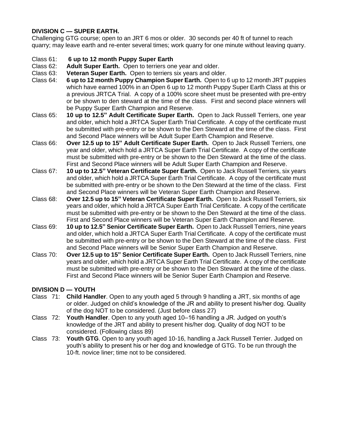### **DIVISION C — SUPER EARTH.**

Challenging GTG course; open to an JRT 6 mos or older. 30 seconds per 40 ft of tunnel to reach quarry; may leave earth and re-enter several times; work quarry for one minute without leaving quarry.

### Class 61: **6 up to 12 month Puppy Super Earth**

- Class 62: **Adult Super Earth.** Open to terriers one year and older.
- Class 63: **Veteran Super Earth.** Open to terriers six years and older.
- Class 64: **6 up to 12 month Puppy Champion Super Earth.** Open to 6 up to 12 month JRT puppies which have earned 100% in an Open 6 up to 12 month Puppy Super Earth Class at this or a previous JRTCA Trial. A copy of a 100% score sheet must be presented with pre-entry or be shown to den steward at the time of the class. First and second place winners will be Puppy Super Earth Champion and Reserve.
- Class 65: **10 up to 12.5" Adult Certificate Super Earth.** Open to Jack Russell Terriers, one year and older, which hold a JRTCA Super Earth Trial Certificate. A copy of the certificate must be submitted with pre-entry or be shown to the Den Steward at the time of the class. First and Second Place winners will be Adult Super Earth Champion and Reserve.
- Class 66: **Over 12.5 up to 15" Adult Certificate Super Earth.** Open to Jack Russell Terriers, one year and older, which hold a JRTCA Super Earth Trial Certificate. A copy of the certificate must be submitted with pre-entry or be shown to the Den Steward at the time of the class. First and Second Place winners will be Adult Super Earth Champion and Reserve.
- Class 67:**10 up to 12.5" Veteran Certificate Super Earth.** Open to Jack Russell Terriers, six years and older, which hold a JRTCA Super Earth Trial Certificate. A copy of the certificate must be submitted with pre-entry or be shown to the Den Steward at the time of the class. First and Second Place winners will be Veteran Super Earth Champion and Reserve.
- Class 68:**Over 12.5 up to 15" Veteran Certificate Super Earth.** Open to Jack Russell Terriers, six years and older, which hold a JRTCA Super Earth Trial Certificate. A copy of the certificate must be submitted with pre-entry or be shown to the Den Steward at the time of the class. First and Second Place winners will be Veteran Super Earth Champion and Reserve.
- Class 69: **10 up to 12.5" Senior Certificate Super Earth.** Open to Jack Russell Terriers, nine years and older, which hold a JRTCA Super Earth Trial Certificate. A copy of the certificate must be submitted with pre-entry or be shown to the Den Steward at the time of the class. First and Second Place winners will be Senior Super Earth Champion and Reserve.
- Class 70: **Over 12.5 up to 15" Senior Certificate Super Earth.** Open to Jack Russell Terriers, nine years and older, which hold a JRTCA Super Earth Trial Certificate. A copy of the certificate must be submitted with pre-entry or be shown to the Den Steward at the time of the class. First and Second Place winners will be Senior Super Earth Champion and Reserve.

### **DIVISION D — YOUTH**

- Class 71: **Child Handler**. Open to any youth aged 5 through 9 handling a JRT, six months of age or older. Judged on child's knowledge of the JR and ability to present his/her dog. Quality of the dog NOT to be considered. (Just before class 27)
- Class 72: **Youth Handler**. Open to any youth aged 10–16 handling a JR. Judged on youth's knowledge of the JRT and ability to present his/her dog. Quality of dog NOT to be considered. (Following class 89)
- Class 73: **Youth GTG**. Open to any youth aged 10-16, handling a Jack Russell Terrier. Judged on youth's ability to present his or her dog and knowledge of GTG. To be run through the 10-ft. novice liner; time not to be considered.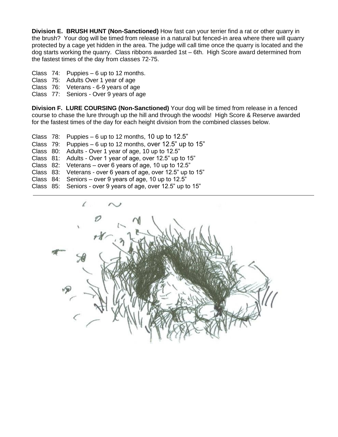**Division E. BRUSH HUNT (Non-Sanctioned)** How fast can your terrier find a rat or other quarry in the brush? Your dog will be timed from release in a natural but fenced-in area where there will quarry protected by a cage yet hidden in the area. The judge will call time once the quarry is located and the dog starts working the quarry. Class ribbons awarded 1st – 6th. High Score award determined from the fastest times of the day from classes 72-75.

Class 74: Puppies – 6 up to 12 months.

- Class 75: Adults Over 1 year of age
- Class 76: Veterans 6-9 years of age
- Class 77: Seniors Over 9 years of age

**Division F. LURE COURSING (Non-Sanctioned)** Your dog will be timed from release in a fenced course to chase the lure through up the hill and through the woods! High Score & Reserve awarded for the fastest times of the day for each height division from the combined classes below.

- Class  $78:$  Puppies 6 up to 12 months, 10 up to 12.5"
- Class 79: Puppies 6 up to 12 months, over 12.5" up to 15"
- Class 80: Adults Over 1 year of age, 10 up to 12.5"
- Class 81: Adults Over 1 year of age, over 12.5" up to 15"
- Class 82: Veterans over 6 years of age, 10 up to 12.5"
- Class 83: Veterans over 6 years of age, over 12.5" up to 15"
- Class 84: Seniors over 9 years of age, 10 up to 12.5"
- Class 85: Seniors over 9 years of age, over 12.5" up to 15"

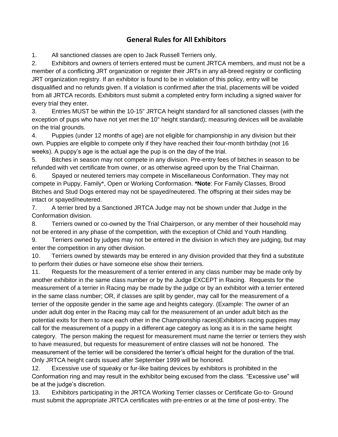## **General Rules for All Exhibitors**

1. All sanctioned classes are open to Jack Russell Terriers only.

2. Exhibitors and owners of terriers entered must be current JRTCA members, and must not be a member of a conflicting JRT organization or register their JRTs in any all-breed registry or conflicting JRT organization registry. If an exhibitor is found to be in violation of this policy, entry will be disqualified and no refunds given. If a violation is confirmed after the trial, placements will be voided from all JRTCA records. Exhibitors must submit a completed entry form including a signed waiver for every trial they enter.

3. Entries MUST be within the 10-15" JRTCA height standard for all sanctioned classes (with the exception of pups who have not yet met the 10" height standard); measuring devices will be available on the trial grounds.

4. Puppies (under 12 months of age) are not eligible for championship in any division but their own. Puppies are eligible to compete only if they have reached their four-month birthday (not 16 weeks). A puppy's age is the actual age the pup is on the day of the trial.

5. Bitches in season may not compete in any division. Pre-entry fees of bitches in season to be refunded with vet certificate from owner, or as otherwise agreed upon by the Trial Chairman.

6. Spayed or neutered terriers may compete in Miscellaneous Conformation. They may not compete in Puppy, Family\*, Open or Working Conformation. **\*Note**: For Family Classes, Brood Bitches and Stud Dogs entered may not be spayed/neutered. The offspring at their sides may be intact or spayed/neutered.

7. A terrier bred by a Sanctioned JRTCA Judge may not be shown under that Judge in the Conformation division.

8. Terriers owned or co-owned by the Trial Chairperson, or any member of their household may not be entered in any phase of the competition, with the exception of Child and Youth Handling.

9. Terriers owned by judges may not be entered in the division in which they are judging, but may enter the competition in any other division.

10. Terriers owned by stewards may be entered in any division provided that they find a substitute to perform their duties or have someone else show their terriers.

11. Requests for the measurement of a terrier entered in any class number may be made only by another exhibitor in the same class number or by the Judge EXCEPT in Racing. Requests for the measurement of a terrier in Racing may be made by the judge or by an exhibitor with a terrier entered in the same class number; OR, if classes are split by gender, may call for the measurement of a terrier of the opposite gender in the same age and heights category. (Example: The owner of an under adult dog enter in the Racing may call for the measurement of an under adult bitch as the potential exits for them to race each other in the Championship races)Exhibitors racing puppies may call for the measurement of a puppy in a different age category as long as it is in the same height category. The person making the request for measurement must name the terrier or terriers they wish to have measured, but requests for measurement of entire classes will not be honored. The measurement of the terrier will be considered the terrier's official height for the duration of the trial. Only JRTCA height cards issued after September 1999 will be honored.

12. Excessive use of squeaky or fur-like baiting devices by exhibitors is prohibited in the Conformation ring and may result in the exhibitor being excused from the class. "Excessive use" will be at the judge's discretion.

13. Exhibitors participating in the JRTCA Working Terrier classes or Certificate Go-to- Ground must submit the appropriate JRTCA certificates with pre-entries or at the time of post-entry. The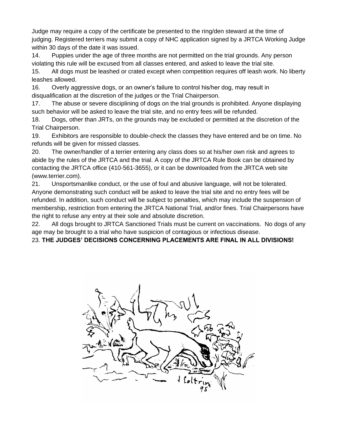Judge may require a copy of the certificate be presented to the ring/den steward at the time of judging. Registered terriers may submit a copy of NHC application signed by a JRTCA Working Judge within 30 days of the date it was issued.

14. Puppies under the age of three months are not permitted on the trial grounds. Any person violating this rule will be excused from all classes entered, and asked to leave the trial site.

15. All dogs must be leashed or crated except when competition requires off leash work. No liberty leashes allowed.

16. Overly aggressive dogs, or an owner's failure to control his/her dog, may result in disqualification at the discretion of the judges or the Trial Chairperson.

17. The abuse or severe disciplining of dogs on the trial grounds is prohibited. Anyone displaying such behavior will be asked to leave the trial site, and no entry fees will be refunded.

18. Dogs, other than JRTs, on the grounds may be excluded or permitted at the discretion of the Trial Chairperson.

19. Exhibitors are responsible to double-check the classes they have entered and be on time. No refunds will be given for missed classes.

20. The owner/handler of a terrier entering any class does so at his/her own risk and agrees to abide by the rules of the JRTCA and the trial. A copy of the JRTCA Rule Book can be obtained by contacting the JRTCA office (410-561-3655), or it can be downloaded from the JRTCA web site (www.terrier.com).

21. Unsportsmanlike conduct, or the use of foul and abusive language, will not be tolerated. Anyone demonstrating such conduct will be asked to leave the trial site and no entry fees will be refunded. In addition, such conduct will be subject to penalties, which may include the suspension of membership, restriction from entering the JRTCA National Trial, and/or fines. Trial Chairpersons have the right to refuse any entry at their sole and absolute discretion.

22. All dogs brought to JRTCA Sanctioned Trials must be current on vaccinations. No dogs of any age may be brought to a trial who have suspicion of contagious or infectious disease.

23. **THE JUDGES' DECISIONS CONCERNING PLACEMENTS ARE FINAL IN ALL DIVISIONS!**